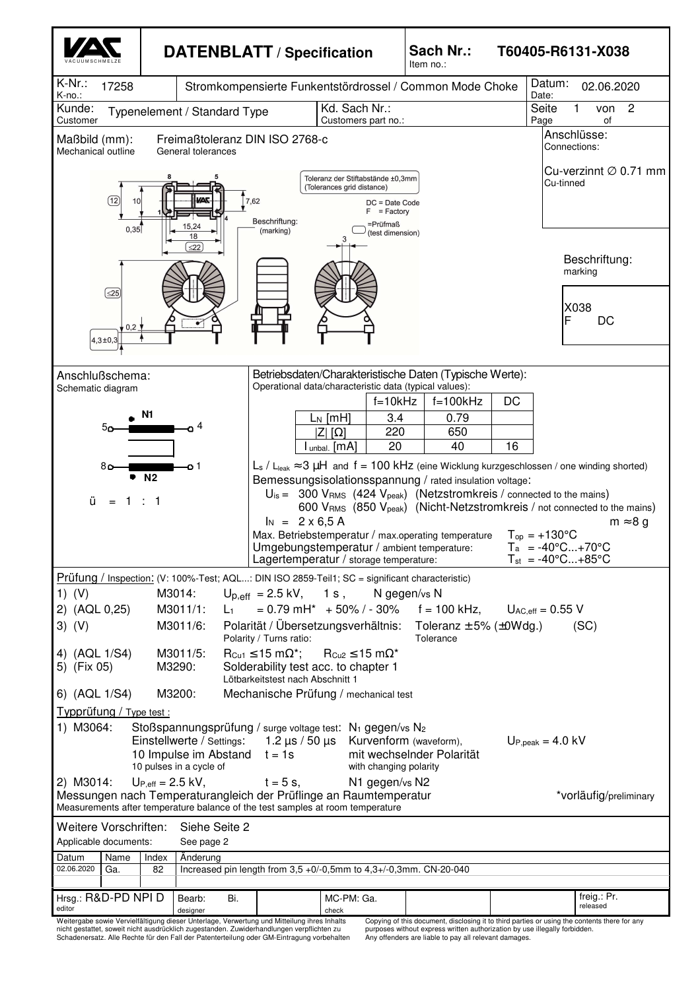

nicht gestattet, soweit nicht ausdrücklich zugestanden. Zuwiderhandlungen verpflichten zu Schadenersatz. Alle Rechte für den Fall der Patenterteilung oder GM-Eintragung vorbehalten

purposes without express written authorization by use illegally forbidden. Any offenders are liable to pay all relevant damages.